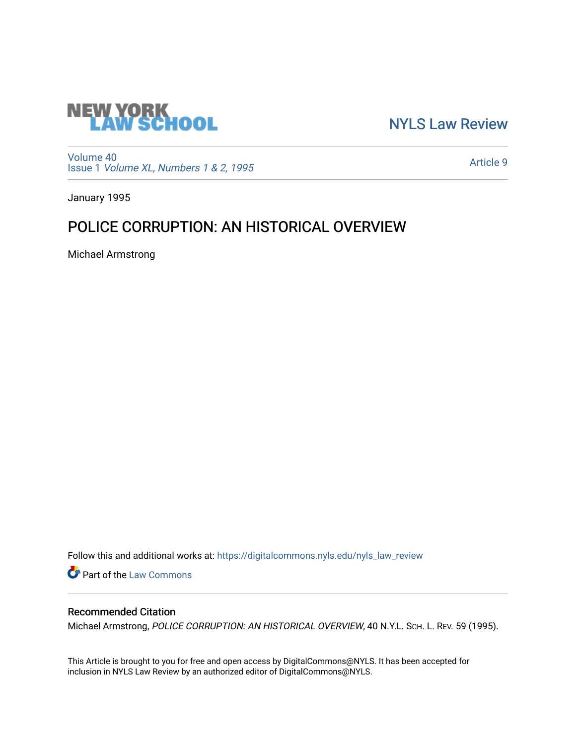

[NYLS Law Review](https://digitalcommons.nyls.edu/nyls_law_review) 

[Volume 40](https://digitalcommons.nyls.edu/nyls_law_review/vol40) Issue 1 [Volume XL, Numbers 1 & 2, 1995](https://digitalcommons.nyls.edu/nyls_law_review/vol40/iss1)

[Article 9](https://digitalcommons.nyls.edu/nyls_law_review/vol40/iss1/9) 

January 1995

# POLICE CORRUPTION: AN HISTORICAL OVERVIEW

Michael Armstrong

Follow this and additional works at: [https://digitalcommons.nyls.edu/nyls\\_law\\_review](https://digitalcommons.nyls.edu/nyls_law_review?utm_source=digitalcommons.nyls.edu%2Fnyls_law_review%2Fvol40%2Fiss1%2F9&utm_medium=PDF&utm_campaign=PDFCoverPages) 

Part of the [Law Commons](https://network.bepress.com/hgg/discipline/578?utm_source=digitalcommons.nyls.edu%2Fnyls_law_review%2Fvol40%2Fiss1%2F9&utm_medium=PDF&utm_campaign=PDFCoverPages)

# Recommended Citation

Michael Armstrong, POLICE CORRUPTION: AN HISTORICAL OVERVIEW, 40 N.Y.L. Sch. L. REV. 59 (1995).

This Article is brought to you for free and open access by DigitalCommons@NYLS. It has been accepted for inclusion in NYLS Law Review by an authorized editor of DigitalCommons@NYLS.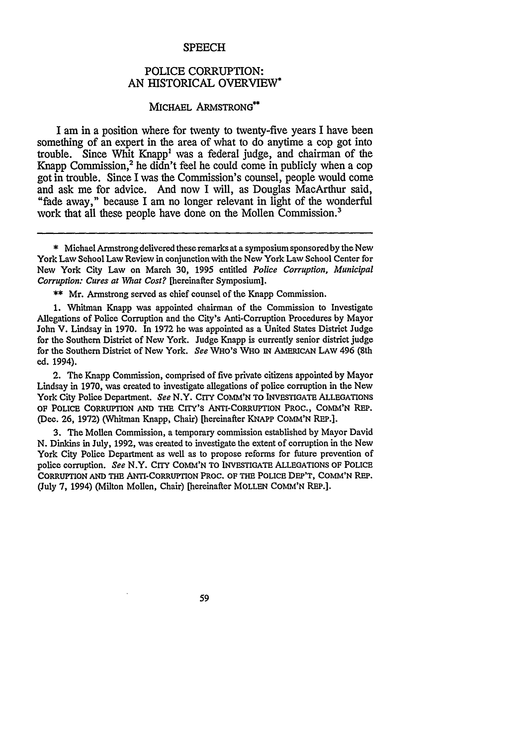#### **SPEECH**

## POLICE CORRUPTION: AN HISTORICAL OVERVIEW

### MICHAEL ARMSTRONG<sup>\*\*</sup>

I am in a position where for twenty to twenty-five years I have been something of an expert in the area of what to do anytime a cop got into trouble. Since Whit Knapp' was a federal judge, and chairman of the Knapp Commission,<sup>2</sup> he didn't feel he could come in publicly when a cop got in trouble. Since I was the Commission's counsel, people would come and ask me for advice. And now I will, as Douglas MacArthur said, "fade away," because I am no longer relevant in light of the wonderful work that all these people have done on the Mollen Commission.<sup>3</sup>

\*\* Mr. Armstrong served as chief counsel of the Knapp Commission.

1. Whitman Knapp was appointed chairman of the Commission to Investigate Allegations of Police Corruption and the City's Anti-Corruption Procedures by Mayor John V. Lindsay in 1970. In 1972 he was appointed as a United States District Judge for the Southern District of New York. Judge Knapp is currently senior district judge for the Southern District of New York. *See* **WHO'S WHO IN AMERICAN LAW** 496 (8th ed. 1994).

2. The Knapp Commission, comprised of five private citizens appointed by Mayor Lindsay in 1970, was created to investigate allegations of police corruption in the New York City Police Department. *See* N.Y. CITY COMM'N **TO INVESTIGATE ALLEGATIONS OF POLICE CoRRuPTION AND THE CITY'S** ANTI-CORRUPTION PROC., **COMM'N** REP. (Dec. **26, 1972)** (Whitman Knapp, Chair) [hereinafter **KNAPP COMM'N REP.].**

**3.** The Mollen Commission, a temporary commission established **by** Mayor David **N.** Dinkins in July, **1992,** was created to investigate the extent of corruption in the New York City Police Department as well as to propose reforms for future prevention of police corruption. *See* N.Y. CrrY **COMM'N TO INVESTIGATE ALLEGATIONS OF POLICE CORRUFrION AND THE** ANTI-CORRUPTION **PROC. OF THE POLICE DEP'T, COMM'N REP.** (July **7,** 1994) (Milton Mollen, Chair) [hereinafter **MOLLEN COMM'N** REP.].

59

<sup>\*</sup> Michael Armstrong delivered these remarks at a symposium sponsoredby the New York Law School Law Review in conjunction with the New York Law School Center for New York City Law on March 30, 1995 entitled *Police Corruption, Municipal Corruption: Cures at What Cost?* [hereinafter Symposium].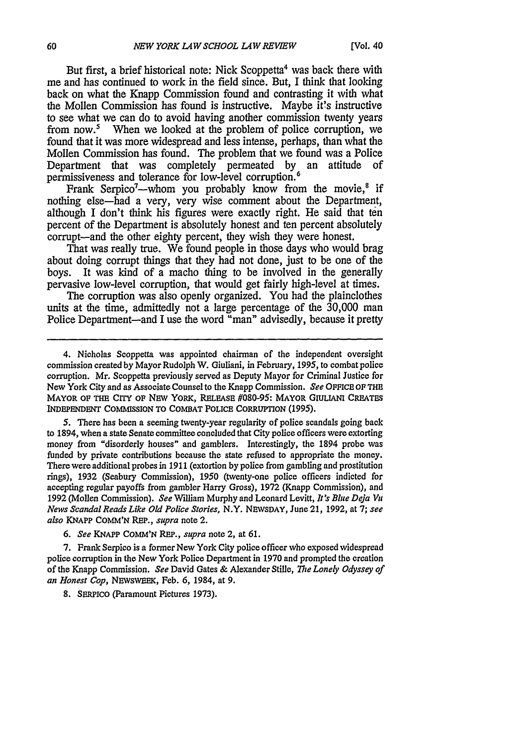But first, a brief historical note: Nick Scoppetta<sup>4</sup> was back there with me and has continued to work in the field since. But, I think that looking back on what the Knapp Commission found and contrasting it with what the Mollen Commission has found is instructive. Maybe it's instructive to see what we can do to avoid having another commission twenty years from now.' When we looked at the problem of police corruption, we found that it was more widespread and less intense, perhaps, than what the Mollen Commission has found. The problem that we found was a Police Department that was completely permeated by an attitude of permissiveness and tolerance for low-level corruption.<sup>6</sup>

Frank Serpico<sup>7</sup>—whom you probably know from the movie,<sup>8</sup> if nothing else-had a very, very wise comment about the Department, although I don't think his figures were exactly right. He said that ten percent of the Department is absolutely honest and ten percent absolutely corrupt-and the other eighty percent, they wish they were honest.

That was really true. We found people in those days who would brag about doing corrupt things that they had not done, just to be one of the boys. It was kind of a macho thing to be involved in the generally pervasive low-level corruption, that would get fairly high-level at times.

The corruption was also openly organized. You had the plainclothes units at the time, admittedly not a large percentage of the 30,000 man Police Department-and I use the word "man" advisedly, because it pretty

**5.** There has been a seeming twenty-year regularity of police scandals going back to 1894, when a state Senate committee concluded that City police officers were extorting money from "disorderly houses" and gamblers. Interestingly, the 1894 probe was funded by private contributions because the state refused to appropriate the money. There were additional probes in 1911 (extortion by police from gambling and prostitution rings), 1932 (Seabury Commission), 1950 (twenty-one police officers indicted for accepting regular payoffs from gambler Harry Gross), 1972 (Knapp Commission), and 1992 (Mollen Commission). *See* William Murphy and Leonard Levitt, *It's Blue Deja Va News Scandal Reads Like Old Police Stories,* N.Y. NEWSDAY, June 21, 1992, at 7; *see also* KNAPP COMM'N REP., *supra* note 2.

6. *See KNAPP* COMM'N REP., *supra* note 2, at 61.

7. Frank Serpico is a former New York City police officer who exposed widespread police corruption in the New York Police Department in 1970 and prompted the creation of the Knapp Commission. *See* David Gates & Alexander Stille, *The Lonely Odyssey of an Honest Cop,* NEWSWEEK, Feb. 6, 1984, at 9.

8. **SERPICO** (Paramount Pictures 1973).

<sup>4.</sup> Nicholas Scoppetta was appointed chairman of the independent oversight commission created by Mayor Rudolph W. Giuliani, in February, **1995,** to combat police corruption. Mr. Scoppetta previously served as Deputy Mayor for Criminal Justice for New York City and as Associate Counsel to the Knapp Commission. *See* **OFFICE OF THE** MAYOR **OF** THE CITY **OF** NEW YORK, RELEASE #080-95: MAYOR GIULIANI CREATES **INDEPENDENT** COMMSSION TO COMBAT POLICE CORRUPTION (1995).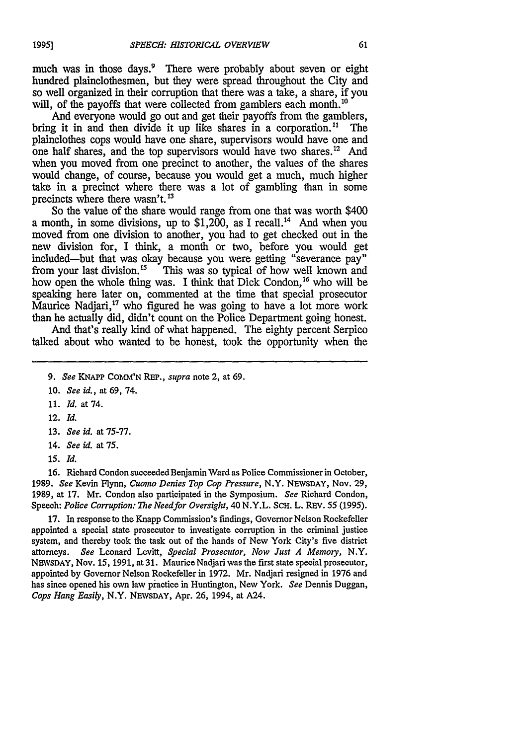much was in those days.<sup>9</sup> There were probably about seven or eight hundred plainclothesmen, but they were spread throughout the City and so well organized in their corruption that there was a take, a share, if you will, of the payoffs that were collected from gamblers each month.<sup>10</sup>

And everyone would go out and get their payoffs from the gamblers, bring it in and then divide it up like shares in a corporation.<sup>11</sup> The plainclothes cops would have one share, supervisors would have one and one half shares, and the top supervisors would have two shares.<sup>12</sup> And when you moved from one precinct to another, the values of the shares would change, of course, because you would get a much, much higher take in a precinct where there was a lot of gambling than in some precincts where there wasn't.<sup>13</sup>

So the value of the share would range from one that was worth \$400 a month, in some divisions, up to  $$1,200$ , as I recall.<sup>14</sup> And when you moved from one division to another, you had to get checked out in the new division for, I think, a month or two, before you would get included-but that was okay because you were getting "severance pay" from your last division.<sup>15</sup> This was so typical of how well known and how open the whole thing was. I think that Dick Condon,<sup>16</sup> who will be speaking here later on, commented at the time that special prosecutor Maurice Nadjari, $^{17}$  who figured he was going to have a lot more work than he actually did, didn't count on the Police Department going honest.

And that's really kind of what happened. The eighty percent Serpico talked about who wanted to be honest, took the opportunity when the

- 11. *Id.* at 74.
- 12. *Id.*
- 13. *See id.* at 75-77.
- 14. *See id.* at **75.**
- *15. Id.*

**16.** Richard Condon succeeded Benjamin Ward as Police Commissioner in October, 1989. *See* Kevin Flynn, *Cuomo Denies Top Cop Pressure,* N.Y. NEVSDAY, Nov. 29, 1989, at 17. Mr. Condon also participated in the Symposium. *See* Richard Condon, Speech: *Police Corruption: The Needfor Oversight,* 40 N.Y.L. ScH. L. REv. **55** (1995).

**17.** In response to the Knapp Commission's findings, Governor Nelson Rockefeller appointed a special state prosecutor to investigate corruption in the criminal justice system, and thereby took the task out of the hands of New York City's five district attorneys. *See* Leonard Levitt, *Special Prosecutor, Now Just A Memory,* N.Y. NEWSDAY, Nov. 15, 1991, at 31. Maurice Nadjari was the first state special prosecutor, appointed by Governor Nelson Rockefeller in 1972. Mr. Nadjari resigned in 1976 and has since opened his own law practice in Huntington, New York. *See* Dennis Duggan, *Cops Hang Easily,* N.Y. NEWSDAY, Apr. 26, 1994, at A24.

<sup>9.</sup> *See* KNAPP COMM'N REP., *supra* note 2, at **69.**

<sup>10.</sup> *See id.,* at 69, 74.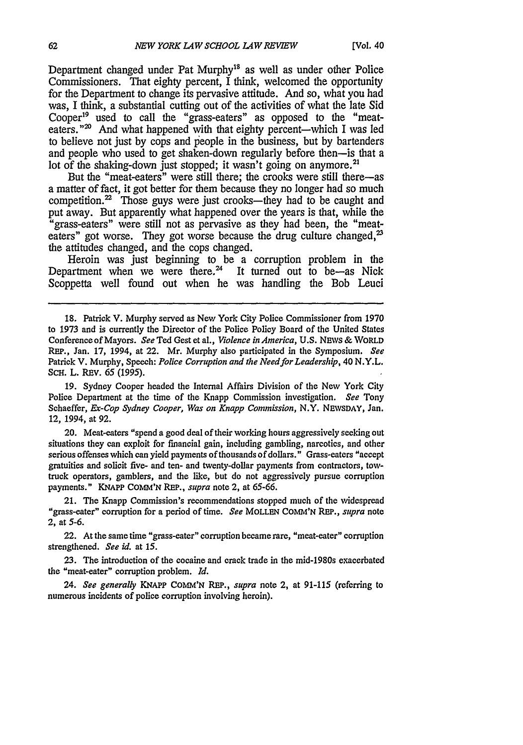Department changed under Pat Murphy<sup>18</sup> as well as under other Police Commissioners. That eighty percent, I think, welcomed the opportunity for the Department to change its pervasive attitude. And so, what you had was, I think, a substantial cutting out of the activities of what the late Sid Cooper19 used to call the "grass-eaters" as opposed to the "meateaters."<sup>20</sup> And what happened with that eighty percent—which I was led to believe not just by cops and people in the business, but by bartenders and people who used to get shaken-down regularly before then-is that a lot of the shaking-down just stopped; it wasn't going on anymore.<sup>21</sup>

But the "meat-eaters" were still there; the crooks were still there-as a matter of fact, it got better for them because they no longer had so much competition.<sup>22</sup> Those guys were just crooks—they had to be caught and put away. But apparently what happened over the years is that, while the 'grass-eaters" were still not as pervasive as they had been, the "meateaters" got worse. They got worse because the drug culture changed,<sup>23</sup> the attitudes changed, and the cops changed.

Heroin was just beginning to be a corruption problem in the Department when we were there. $24$  It turned out to be-as Nick Scoppetta well found out when he was handling the Bob Leuci

18. Patrick V. Murphy served as New York City Police Commissioner from 1970 to **1973** and is currently the Director of the Police Policy Board of the United States Conference ofMayors. *See* Ted Gest et al., *Violence in America, U.S.* NEWS **&** WORLD REP., Jan. **17,** 1994, at 22. Mr. Murphy also participated in the Symposium. *See* Patrick V. Murphy, Speech: *Police Corruption and the Need for Leadership,* 40 N.Y.L. ScH. L. REv. *65 (1995).*

**19.** Sydney Cooper headed the Internal Affairs Division of the New York City Police Department at the time of the Knapp Commission investigation. *See* Tony Schaeffer, *Ex-Cop Sydney Cooper, Was on Knapp Commission,* N.Y. NEVSDAY, Jan. 12, 1994, at 92.

20. Meat-eaters "spend a good deal of their working hours aggressively seeking out situations they can exploit for financial gain, including gambling, narcotics, and other serious offenses which can yield payments of thousands of dollars." Grass-eaters "accept gratuities and solicit five- and ten- and twenty-dollar payments from contractors, towtruck operators, gamblers, and the like, but do not aggressively pursue corruption payments." KNAPP **COMM'N** REP., *supra* note 2, at *65-66.*

21. The Knapp Commission's recommendations stopped much of the widespread "grass-eater" corruption for a period of time. *See* MOLLEN COMM'N REP., *supra* note 2, at **5-6.**

22. At the same time "grass-eater" corruption became rare, "meat-eater" corruption strengthened. *See id.* at **15.**

23. The introduction of the cocaine and crack trade in the mid-1980s exacerbated the "meat-eater" corruption problem. *Id.*

24. *See generally KNAPP* COMM'N REP., *supra* note 2, at 91-115 (referring to numerous incidents of police corruption involving heroin).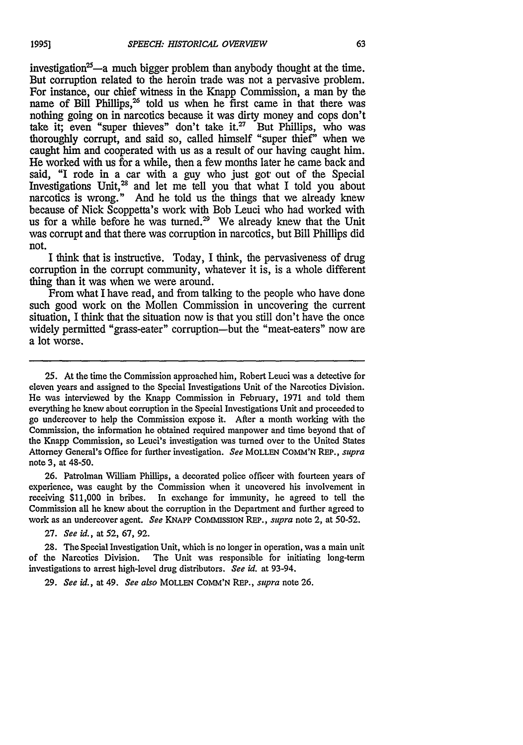investigation<sup>25</sup>—a much bigger problem than anybody thought at the time. But corruption related to the heroin trade was not a pervasive problem. For instance, our chief witness in the Knapp Commission, a man by the name of Bill Phillips,<sup>26</sup> told us when he first came in that there was nothing going on in narcotics because it was dirty money and cops don't take it; even "super thieves" don't take it. $27$  But Phillips, who was thoroughly corrupt, and said so, called himself "super thief" when we caught him and cooperated with us as a result of our having caught him. He worked with us for a while, then a few months later he came back and said, "I rode in a car with a guy who just got out of the Special Investigations Unit,<sup>28</sup> and let me tell you that what I told you about narcotics is wrong." And he told us the things that we already knew because of Nick Scoppetta's work with Bob Leuci who had worked with us for a while before he was turned.<sup>29</sup> We already knew that the Unit was corrupt and that there was corruption in narcotics, but Bill Phillips did not.

I think that is instructive. Today, I think, the pervasiveness of drug corruption in the corrupt community, whatever it is, is a whole different thing than it was when we were around.

From what I have read, and from talking to the people who have done such good work on the Mollen Commission in uncovering the current situation, I think that the situation now is that you still don't have the once widely permitted "grass-eater" corruption-but the "meat-eaters" now are a lot worse.

25. At the time the Commission approached him, Robert Leuci was a detective for eleven years and assigned to the Special Investigations Unit of the Narcotics Division. He was interviewed by the Knapp Commission in February, 1971 and told them everything he knew about corruption in the Special Investigations Unit and proceeded to go undercover to help the Commission expose it. After a month working with the Commission, the information he obtained required manpower and time beyond that of the Knapp Commission, so Leuci's investigation was turned over to the United States Attorney General's Office for further investigation. *See* MOLLEN COMM'N REP., supra note 3, at 48-50.

26. Patrolman William Phillips, a decorated police officer with fourteen years of experience, was caught by the Commission when it uncovered his involvement in receiving \$11,000 in bribes. In exchange for immunity, he agreed to tell the Commission all he knew about the corruption in the Department and further agreed to work as an undercover agent. *See* **KNAPP** COMMISSION REP., *supra* note 2, at **50-52.**

27. *See id.,* at 52, 67, 92.

28. The Special Investigation Unit, which is no longer in operation, was a main unit of the Narcotics Division. The Unit was responsible for initiating long-term investigations to arrest high-level drug distributors. *See id.* at 93-94.

**29.** *See id.,* at 49. *See also* MOLLEN COMM'N REP., *supra* note 26.

*1995]*